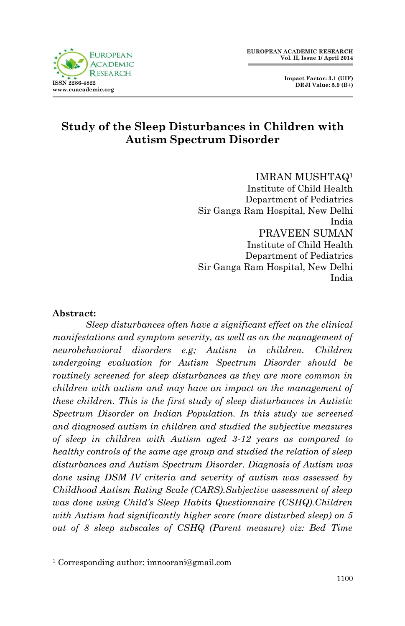**Impact Factor: 3.1 (UIF) DRJI Value: 5.9 (B+)**



# **Study of the Sleep Disturbances in Children with Autism Spectrum Disorder**

IMRAN MUSHTAQ<sup>1</sup> Institute of Child Health Department of Pediatrics Sir Ganga Ram Hospital, New Delhi India PRAVEEN SUMAN Institute of Child Health Department of Pediatrics Sir Ganga Ram Hospital, New Delhi India

#### **Abstract:**

1

*Sleep disturbances often have a significant effect on the clinical manifestations and symptom severity, as well as on the management of neurobehavioral disorders e.g; Autism in children. Children undergoing evaluation for Autism Spectrum Disorder should be routinely screened for sleep disturbances as they are more common in children with autism and may have an impact on the management of these children. This is the first study of sleep disturbances in Autistic Spectrum Disorder on Indian Population. In this study we screened and diagnosed autism in children and studied the subjective measures of sleep in children with Autism aged 3-12 years as compared to healthy controls of the same age group and studied the relation of sleep disturbances and Autism Spectrum Disorder. Diagnosis of Autism was done using DSM IV criteria and severity of autism was assessed by Childhood Autism Rating Scale (CARS).Subjective assessment of sleep was done using Child's Sleep Habits Questionnaire (CSHQ). Children with Autism had significantly higher score (more disturbed sleep) on 5 out of 8 sleep subscales of CSHQ (Parent measure) viz: Bed Time* 

<sup>1</sup> Corresponding author: imnoorani@gmail.com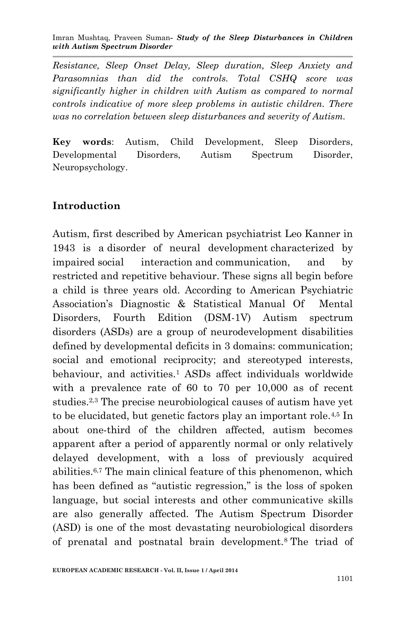*Resistance, Sleep Onset Delay, Sleep duration, Sleep Anxiety and Parasomnias than did the controls. Total CSHQ score was significantly higher in children with Autism as compared to normal controls indicative of more sleep problems in autistic children. There was no correlation between sleep disturbances and severity of Autism.* 

**Key words**: Autism, Child Development, Sleep Disorders, Developmental Disorders, Autism Spectrum Disorder, Neuropsychology.

#### **Introduction**

Autism, first described by American psychiatrist Leo Kanner in 1943 is a disorder of neural development characterized by impaired social interaction and communication, and by restricted and repetitive behaviour. These signs all begin before a child is three years old. According to American Psychiatric Association's Diagnostic & Statistical Manual Of Mental Disorders, Fourth Edition (DSM-1V) Autism spectrum disorders (ASDs) are a group of neurodevelopment disabilities defined by developmental deficits in 3 domains: communication; social and emotional reciprocity; and stereotyped interests, behaviour, and activities.<sup>1</sup> ASDs affect individuals worldwide with a prevalence rate of 60 to 70 per 10,000 as of recent studies.2,3 The precise neurobiological causes of autism have yet to be elucidated, but genetic factors play an important role.4,5 In about one-third of the children affected, autism becomes apparent after a period of apparently normal or only relatively delayed development, with a loss of previously acquired abilities.6,7 The main clinical feature of this phenomenon, which has been defined as "autistic regression," is the loss of spoken language, but social interests and other communicative skills are also generally affected. The Autism Spectrum Disorder (ASD) is one of the most devastating neurobiological disorders of prenatal and postnatal brain development.<sup>8</sup> The triad of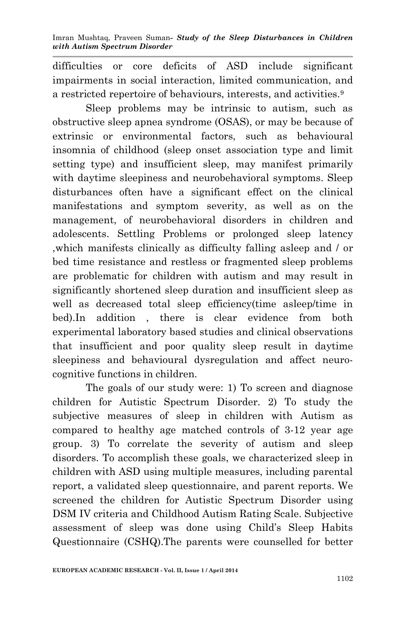difficulties or core deficits of ASD include significant impairments in social interaction, limited communication, and a restricted repertoire of behaviours, interests, and activities.<sup>9</sup>

Sleep problems may be intrinsic to autism, such as obstructive sleep apnea syndrome (OSAS), or may be because of extrinsic or environmental factors, such as behavioural insomnia of childhood (sleep onset association type and limit setting type) and insufficient sleep, may manifest primarily with daytime sleepiness and neurobehavioral symptoms. Sleep disturbances often have a significant effect on the clinical manifestations and symptom severity, as well as on the management, of neurobehavioral disorders in children and adolescents. Settling Problems or prolonged sleep latency ,which manifests clinically as difficulty falling asleep and / or bed time resistance and restless or fragmented sleep problems are problematic for children with autism and may result in significantly shortened sleep duration and insufficient sleep as well as decreased total sleep efficiency(time asleep/time in bed).In addition , there is clear evidence from both experimental laboratory based studies and clinical observations that insufficient and poor quality sleep result in daytime sleepiness and behavioural dysregulation and affect neurocognitive functions in children.

The goals of our study were: 1) To screen and diagnose children for Autistic Spectrum Disorder. 2) To study the subjective measures of sleep in children with Autism as compared to healthy age matched controls of 3-12 year age group. 3) To correlate the severity of autism and sleep disorders. To accomplish these goals, we characterized sleep in children with ASD using multiple measures, including parental report, a validated sleep questionnaire, and parent reports. We screened the children for Autistic Spectrum Disorder using DSM IV criteria and Childhood Autism Rating Scale. Subjective assessment of sleep was done using Child's Sleep Habits Questionnaire (CSHQ).The parents were counselled for better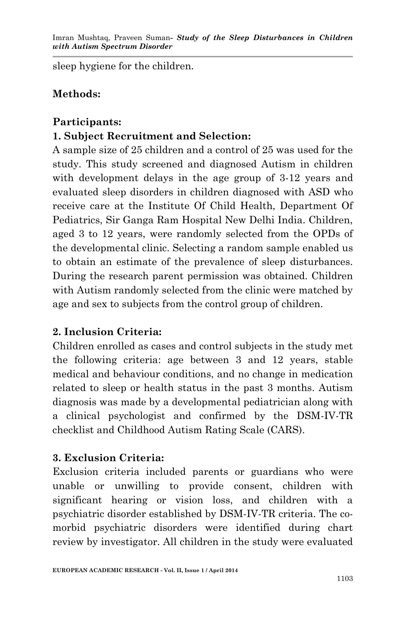sleep hygiene for the children.

## **Methods:**

#### **Participants:**

# **1. Subject Recruitment and Selection:**

A sample size of 25 children and a control of 25 was used for the study. This study screened and diagnosed Autism in children with development delays in the age group of 3-12 years and evaluated sleep disorders in children diagnosed with ASD who receive care at the Institute Of Child Health, Department Of Pediatrics, Sir Ganga Ram Hospital New Delhi India. Children, aged 3 to 12 years, were randomly selected from the OPDs of the developmental clinic. Selecting a random sample enabled us to obtain an estimate of the prevalence of sleep disturbances. During the research parent permission was obtained. Children with Autism randomly selected from the clinic were matched by age and sex to subjects from the control group of children.

## **2. Inclusion Criteria:**

Children enrolled as cases and control subjects in the study met the following criteria: age between 3 and 12 years, stable medical and behaviour conditions, and no change in medication related to sleep or health status in the past 3 months. Autism diagnosis was made by a developmental pediatrician along with a clinical psychologist and confirmed by the DSM-IV-TR checklist and Childhood Autism Rating Scale (CARS).

## **3. Exclusion Criteria:**

Exclusion criteria included parents or guardians who were unable or unwilling to provide consent, children with significant hearing or vision loss, and children with a psychiatric disorder established by DSM-IV-TR criteria. The comorbid psychiatric disorders were identified during chart review by investigator. All children in the study were evaluated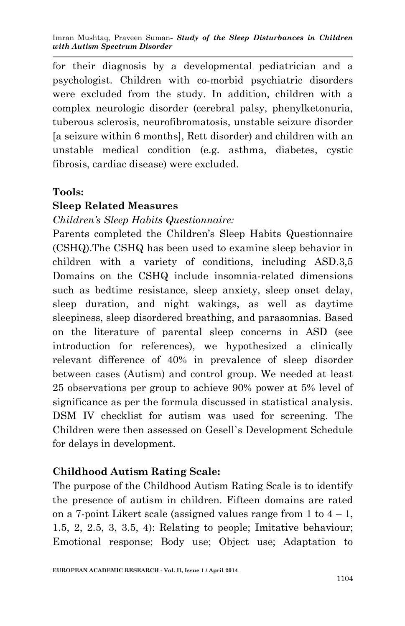for their diagnosis by a developmental pediatrician and a psychologist. Children with co-morbid psychiatric disorders were excluded from the study. In addition, children with a complex neurologic disorder (cerebral palsy, phenylketonuria, tuberous sclerosis, neurofibromatosis, unstable seizure disorder [a seizure within 6 months], Rett disorder) and children with an unstable medical condition (e.g. asthma, diabetes, cystic fibrosis, cardiac disease) were excluded.

#### **Tools:**

#### **Sleep Related Measures**

#### *Children's Sleep Habits Questionnaire:*

Parents completed the Children's Sleep Habits Questionnaire (CSHQ).The CSHQ has been used to examine sleep behavior in children with a variety of conditions, including ASD.3,5 Domains on the CSHQ include insomnia-related dimensions such as bedtime resistance, sleep anxiety, sleep onset delay, sleep duration, and night wakings, as well as daytime sleepiness, sleep disordered breathing, and parasomnias. Based on the literature of parental sleep concerns in ASD (see introduction for references), we hypothesized a clinically relevant difference of 40% in prevalence of sleep disorder between cases (Autism) and control group. We needed at least 25 observations per group to achieve 90% power at 5% level of significance as per the formula discussed in statistical analysis. DSM IV checklist for autism was used for screening. The Children were then assessed on Gesell`s Development Schedule for delays in development.

## **Childhood Autism Rating Scale:**

The purpose of the Childhood Autism Rating Scale is to identify the presence of autism in children. Fifteen domains are rated on a 7-point Likert scale (assigned values range from 1 to  $4 - 1$ , 1.5, 2, 2.5, 3, 3.5, 4): Relating to people; Imitative behaviour; Emotional response; Body use; Object use; Adaptation to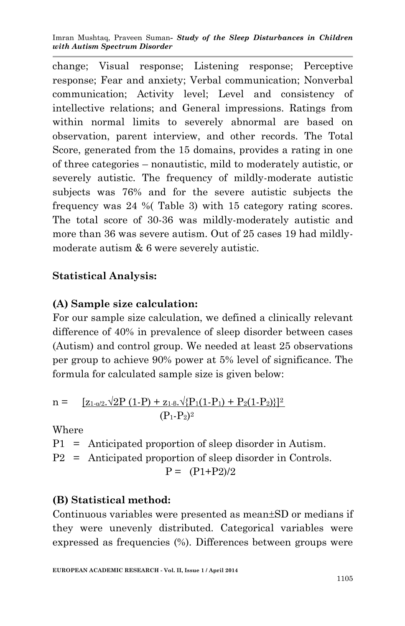change; Visual response; Listening response; Perceptive response; Fear and anxiety; Verbal communication; Nonverbal communication; Activity level; Level and consistency of intellective relations; and General impressions. Ratings from within normal limits to severely abnormal are based on observation, parent interview, and other records. The Total Score, generated from the 15 domains, provides a rating in one of three categories – nonautistic, mild to moderately autistic, or severely autistic. The frequency of mildly-moderate autistic subjects was 76% and for the severe autistic subjects the frequency was 24 %( Table 3) with 15 category rating scores. The total score of 30-36 was mildly-moderately autistic and more than 36 was severe autism. Out of 25 cases 19 had mildlymoderate autism & 6 were severely autistic.

#### **Statistical Analysis:**

#### **(A) Sample size calculation:**

For our sample size calculation, we defined a clinically relevant difference of 40% in prevalence of sleep disorder between cases (Autism) and control group. We needed at least 25 observations per group to achieve 90% power at 5% level of significance. The formula for calculated sample size is given below:

n = 
$$
\frac{[z_{1-d/2}.\sqrt{2P(1-P)} + z_{1-\beta}.\sqrt{P_1(1-P_1) + P_2(1-P_2)}]^2}{(P_1-P_2)^2}
$$

Where

P1 = Anticipated proportion of sleep disorder in Autism. P2 = Anticipated proportion of sleep disorder in Controls.  $P = (P1+P2)/2$ 

## **(B) Statistical method:**

Continuous variables were presented as mean $\pm SD$  or medians if they were unevenly distributed. Categorical variables were expressed as frequencies (%). Differences between groups were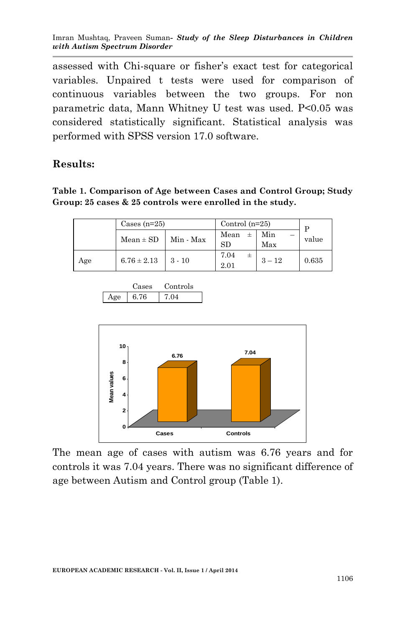assessed with Chi-square or fisher's exact test for categorical variables. Unpaired t tests were used for comparison of continuous variables between the two groups. For non parametric data, Mann Whitney U test was used. P<0.05 was considered statistically significant. Statistical analysis was performed with SPSS version 17.0 software.

#### **Results:**

**Table 1. Comparison of Age between Cases and Control Group; Study Group: 25 cases & 25 controls were enrolled in the study.**

| Cases $(n=25)$ |                 | Control $(n=25)$ | D    |          |       |
|----------------|-----------------|------------------|------|----------|-------|
|                | $Mean \pm SD$   | Min - Max        | Mean | Min      | value |
|                |                 |                  | SD   | Max      |       |
| Age            | $6.76 \pm 2.13$ | $3 - 10$         | 7.04 | $3 - 12$ | 0.635 |
|                |                 |                  | 2.01 |          |       |

|     | Jases : | Controls |
|-----|---------|----------|
| Aøe | 6.76    | 7 O A    |



The mean age of cases with autism was 6.76 years and for controls it was 7.04 years. There was no significant difference of age between Autism and Control group (Table 1).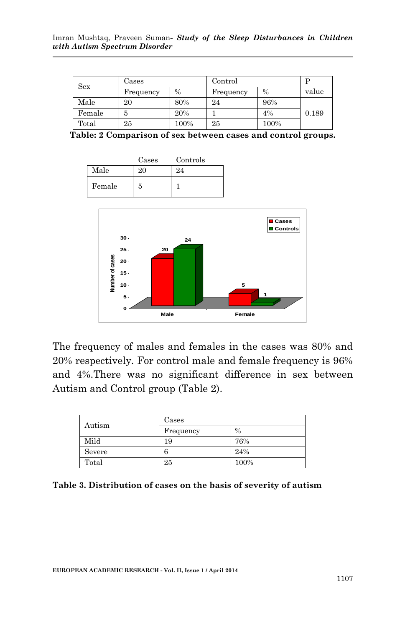| Sex    | Cases     |      | Control   |               |       |
|--------|-----------|------|-----------|---------------|-------|
|        | Frequency | $\%$ | Frequency | $\frac{0}{0}$ | value |
| Male   | 20        | 80%  | 24        | 96%           |       |
| Female | 5         | 20%  |           | 4%            | 0.189 |
| Total  | 25        | 100% | 25        | 100%          |       |

**Table: 2 Comparison of sex between cases and control groups.**

|        | Cases | Controls |
|--------|-------|----------|
| Male   | 20    | 24       |
| Female | 5     |          |



The frequency of males and females in the cases was 80% and 20% respectively. For control male and female frequency is 96% and 4%.There was no significant difference in sex between Autism and Control group (Table 2).

| Autism | Cases     |               |  |
|--------|-----------|---------------|--|
|        | Frequency | $\frac{0}{0}$ |  |
| Mild   | 19        | 76%           |  |
| Severe | 6         | 24%           |  |
| Total  | 25        | 100%          |  |

**Table 3. Distribution of cases on the basis of severity of autism**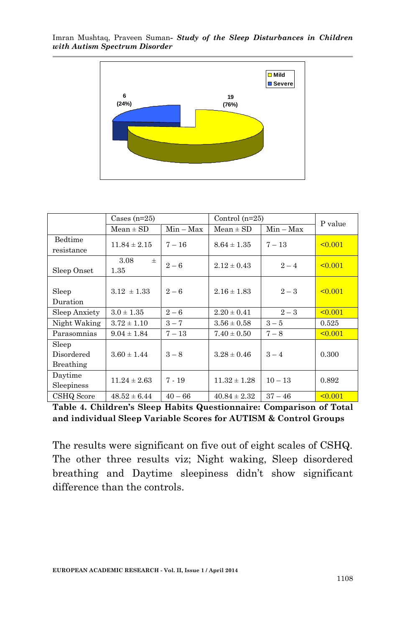



|                                                                                           | 6<br>(24%)                                                          |             | 19<br>(76%)      |             |              |  |
|-------------------------------------------------------------------------------------------|---------------------------------------------------------------------|-------------|------------------|-------------|--------------|--|
|                                                                                           |                                                                     |             |                  |             |              |  |
|                                                                                           |                                                                     |             |                  |             |              |  |
|                                                                                           |                                                                     |             |                  |             |              |  |
|                                                                                           |                                                                     |             |                  |             |              |  |
|                                                                                           |                                                                     |             |                  |             |              |  |
|                                                                                           |                                                                     |             |                  |             |              |  |
|                                                                                           |                                                                     |             |                  |             |              |  |
|                                                                                           |                                                                     |             |                  |             |              |  |
|                                                                                           |                                                                     |             |                  |             |              |  |
|                                                                                           |                                                                     |             |                  |             |              |  |
|                                                                                           | Cases $(n=25)$                                                      |             | Control $(n=25)$ |             |              |  |
|                                                                                           | $Mean \pm SD$                                                       | $Min - Max$ | $Mean \pm SD$    | $Min - Max$ | P value      |  |
| Bedtime                                                                                   |                                                                     |             |                  |             |              |  |
| resistance                                                                                | $11.84 \pm 2.15$                                                    | $7 - 16$    | $8.64 \pm 1.35$  | $7 - 13$    | 50.001       |  |
|                                                                                           | 3.08<br>士                                                           |             |                  |             |              |  |
| Sleep Onset                                                                               | 1.35                                                                | $2\,{-}\,6$ | $2.12 \pm 0.43$  | $2 - 4$     | $\leq 0.001$ |  |
|                                                                                           |                                                                     |             |                  |             |              |  |
| Sleep                                                                                     | $3.12 \pm 1.33$                                                     | $2-6$       | $2.16 \pm 1.83$  | $2-3$       | 50.001       |  |
| Duration                                                                                  |                                                                     |             |                  |             |              |  |
| Sleep Anxiety                                                                             | $3.0 \pm 1.35$                                                      | $2-6$       | $2.20 \pm 0.41$  | $2 - 3$     | 50.001       |  |
| Night Waking                                                                              | $3.72 \pm 1.10$                                                     | $3 - 7$     | $3.56 \pm 0.58$  | $3-5$       | 0.525        |  |
| Parasomnias                                                                               | $9.04 \pm 1.84$                                                     | $7-13\,$    | $7.40 \pm 0.50$  | $7-8$       | 50.001       |  |
| Sleep                                                                                     |                                                                     |             |                  |             |              |  |
| Disordered                                                                                | $3.60 \pm 1.44$                                                     | $3-8$       | $3.28 \pm 0.46$  | $3 - 4$     | 0.300        |  |
| Breathing                                                                                 |                                                                     |             |                  |             |              |  |
| Daytime                                                                                   |                                                                     | $7 - 19$    | $11.32 \pm 1.28$ | $10 - 13$   | 0.892        |  |
| Sleepiness                                                                                | $11.24 \pm 2.63$                                                    |             |                  |             |              |  |
| CSHQ Score                                                                                | $48.52 \pm 6.44$                                                    | $40 - 66$   | $40.84 \pm 2.32$ | $37 - 46$   | 50.001       |  |
|                                                                                           | Table 4. Children's Sleep Habits Questionnaire: Comparison of Total |             |                  |             |              |  |
|                                                                                           | and individual Sleep Variable Scores for AUTISM & Control Groups    |             |                  |             |              |  |
|                                                                                           |                                                                     |             |                  |             |              |  |
|                                                                                           |                                                                     |             |                  |             |              |  |
|                                                                                           | The results were significant on five out of eight scales of CSHQ.   |             |                  |             |              |  |
|                                                                                           | The other three results viz; Night waking, Sleep disordered         |             |                  |             |              |  |
|                                                                                           |                                                                     |             |                  |             |              |  |
| breathing and Daytime sleepiness didn't show significant<br>difference than the controls. |                                                                     |             |                  |             |              |  |
|                                                                                           |                                                                     |             |                  |             |              |  |
|                                                                                           |                                                                     |             |                  |             |              |  |
|                                                                                           |                                                                     |             |                  |             |              |  |
|                                                                                           |                                                                     |             |                  |             |              |  |
|                                                                                           |                                                                     |             |                  |             |              |  |
|                                                                                           |                                                                     |             |                  |             |              |  |
|                                                                                           |                                                                     |             |                  |             |              |  |
|                                                                                           |                                                                     |             |                  |             |              |  |
|                                                                                           | EUROPEAN ACADEMIC RESEARCH - Vol. II, Issue 1 / April 2014          |             |                  |             | 1108         |  |

**Table 4. Children's Sleep Habits Questionnaire: Comparison of Total and individual Sleep Variable Scores for AUTISM & Control Groups**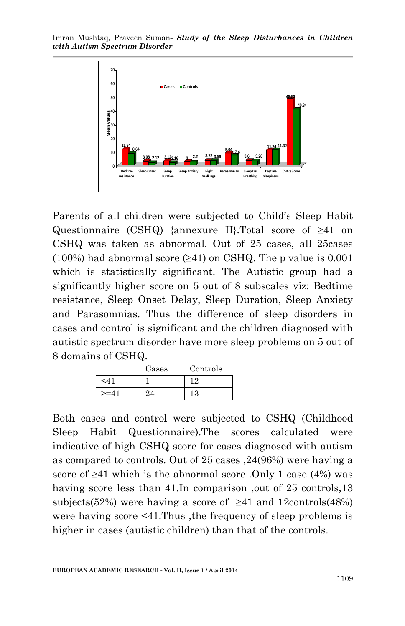

Parents of all children were subjected to Child's Sleep Habit Questionnaire (CSHQ) {annexure II}.Total score of ≥41 on CSHQ was taken as abnormal. Out of 25 cases, all 25cases (100%) had abnormal score  $(\geq 41)$  on CSHQ. The p value is 0.001 which is statistically significant. The Autistic group had a significantly higher score on 5 out of 8 subscales viz: Bedtime resistance, Sleep Onset Delay, Sleep Duration, Sleep Anxiety and Parasomnias. Thus the difference of sleep disorders in cases and control is significant and the children diagnosed with autistic spectrum disorder have more sleep problems on 5 out of 8 domains of CSHQ.

|        | Cases | Controls |
|--------|-------|----------|
| ' ا∕ ~ |       | 19       |
| $>=$   | 4     | 13       |

Both cases and control were subjected to CSHQ (Childhood Sleep Habit Questionnaire).The scores calculated were indicative of high CSHQ score for cases diagnosed with autism as compared to controls. Out of 25 cases ,24(96%) were having a score of  $\geq$ 41 which is the abnormal score .Only 1 case (4%) was having score less than 41. In comparison, out of 25 controls, 13 subjects(52%) were having a score of  $\geq 41$  and 12controls(48%) were having score  $\leq 41$ . Thus, the frequency of sleep problems is higher in cases (autistic children) than that of the controls.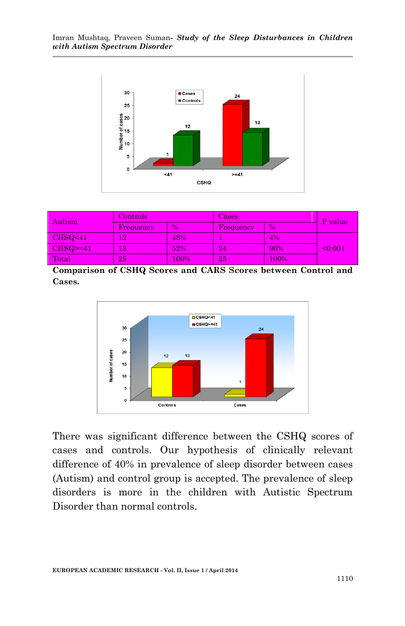

| Autism             | Controls     |               | Cases     |               | P value |
|--------------------|--------------|---------------|-----------|---------------|---------|
|                    | Frequency    | $\frac{0}{0}$ | Frequency | $\frac{9}{6}$ |         |
| CHSQ <sub>41</sub> | 12           | 48%           |           | 4%            |         |
| $CHSQ=41$          | $13^{\circ}$ | 52%           | 24'       | 96%           | < 0.001 |
| Total              | 25           | 100%          | 25        | $100\%$       |         |

**Comparison of CSHQ Scores and CARS Scores between Control and Cases.**



There was significant difference between the CSHQ scores of cases and controls. Our hypothesis of clinically relevant difference of 40% in prevalence of sleep disorder between cases (Autism) and control group is accepted. The prevalence of sleep disorders is more in the children with Autistic Spectrum Disorder than normal controls.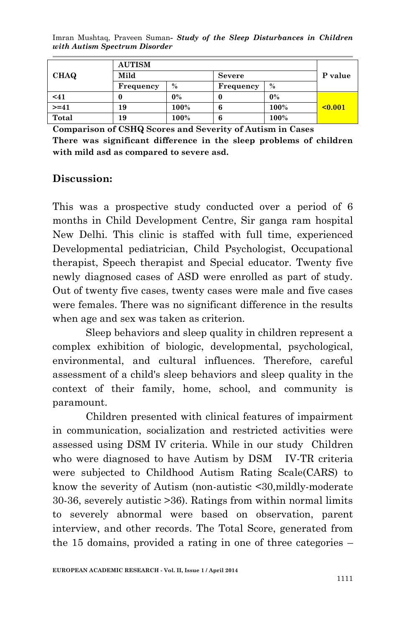|             | <b>AUTISM</b> |       |               |       |              |
|-------------|---------------|-------|---------------|-------|--------------|
| <b>CHAQ</b> | Mild          |       | <b>Severe</b> |       | P value      |
|             | Frequency     | $\%$  | Frequency     | $\%$  |              |
| $41$        |               | $0\%$ |               | $0\%$ |              |
| $>= 41$     | 19            | 100%  | 6             | 100%  | $\leq 0.001$ |
| Total       | 19            | 100%  | 6             | 100%  |              |

**Comparison of CSHQ Scores and Severity of Autism in Cases There was significant difference in the sleep problems of children with mild asd as compared to severe asd.** 

#### **Discussion:**

This was a prospective study conducted over a period of 6 months in Child Development Centre, Sir ganga ram hospital New Delhi. This clinic is staffed with full time, experienced Developmental pediatrician, Child Psychologist, Occupational therapist, Speech therapist and Special educator. Twenty five newly diagnosed cases of ASD were enrolled as part of study. Out of twenty five cases, twenty cases were male and five cases were females. There was no significant difference in the results when age and sex was taken as criterion.

Sleep behaviors and sleep quality in children represent a complex exhibition of biologic, developmental, psychological, environmental, and cultural influences. Therefore, careful assessment of a child's sleep behaviors and sleep quality in the context of their family, home, school, and community is paramount.

Children presented with clinical features of impairment in communication, socialization and restricted activities were assessed using DSM IV criteria. While in our study Children who were diagnosed to have Autism by DSM IV-TR criteria were subjected to Childhood Autism Rating Scale(CARS) to know the severity of Autism (non-autistic <30,mildly-moderate 30-36, severely autistic >36). Ratings from within normal limits to severely abnormal were based on observation, parent interview, and other records. The Total Score, generated from the 15 domains, provided a rating in one of three categories –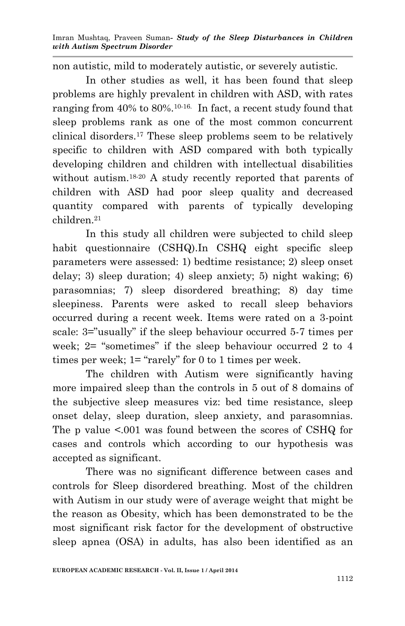non autistic, mild to moderately autistic, or severely autistic.

In other studies as well, it has been found that sleep problems are highly prevalent in children with ASD, with rates ranging from 40% to 80%.10-16. In fact, a recent study found that sleep problems rank as one of the most common concurrent clinical disorders.<sup>17</sup> These sleep problems seem to be relatively specific to children with ASD compared with both typically developing children and children with intellectual disabilities without autism.18-20 A study recently reported that parents of children with ASD had poor sleep quality and decreased quantity compared with parents of typically developing children.<sup>21</sup>

In this study all children were subjected to child sleep habit questionnaire (CSHQ).In CSHQ eight specific sleep parameters were assessed: 1) bedtime resistance; 2) sleep onset delay; 3) sleep duration; 4) sleep anxiety; 5) night waking; 6) parasomnias; 7) sleep disordered breathing; 8) day time sleepiness. Parents were asked to recall sleep behaviors occurred during a recent week. Items were rated on a 3-point scale: 3="usually" if the sleep behaviour occurred 5-7 times per week; 2= "sometimes" if the sleep behaviour occurred 2 to 4 times per week; 1= "rarely" for 0 to 1 times per week.

The children with Autism were significantly having more impaired sleep than the controls in 5 out of 8 domains of the subjective sleep measures viz: bed time resistance, sleep onset delay, sleep duration, sleep anxiety, and parasomnias. The p value <.001 was found between the scores of CSHQ for cases and controls which according to our hypothesis was accepted as significant.

There was no significant difference between cases and controls for Sleep disordered breathing. Most of the children with Autism in our study were of average weight that might be the reason as Obesity, which has been demonstrated to be the most significant risk factor for the development of obstructive sleep apnea (OSA) in adults, has also been identified as an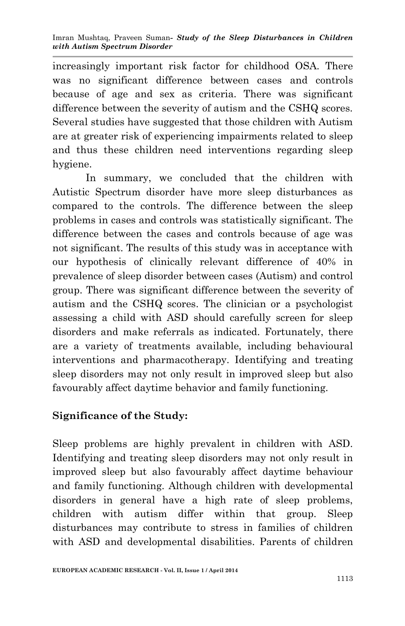increasingly important risk factor for childhood OSA. There was no significant difference between cases and controls because of age and sex as criteria. There was significant difference between the severity of autism and the CSHQ scores. Several studies have suggested that those children with Autism are at greater risk of experiencing impairments related to sleep and thus these children need interventions regarding sleep hygiene.

In summary, we concluded that the children with Autistic Spectrum disorder have more sleep disturbances as compared to the controls. The difference between the sleep problems in cases and controls was statistically significant. The difference between the cases and controls because of age was not significant. The results of this study was in acceptance with our hypothesis of clinically relevant difference of 40% in prevalence of sleep disorder between cases (Autism) and control group. There was significant difference between the severity of autism and the CSHQ scores. The clinician or a psychologist assessing a child with ASD should carefully screen for sleep disorders and make referrals as indicated. Fortunately, there are a variety of treatments available, including behavioural interventions and pharmacotherapy. Identifying and treating sleep disorders may not only result in improved sleep but also favourably affect daytime behavior and family functioning.

# **Significance of the Study:**

Sleep problems are highly prevalent in children with ASD. Identifying and treating sleep disorders may not only result in improved sleep but also favourably affect daytime behaviour and family functioning. Although children with developmental disorders in general have a high rate of sleep problems, children with autism differ within that group. Sleep disturbances may contribute to stress in families of children with ASD and developmental disabilities. Parents of children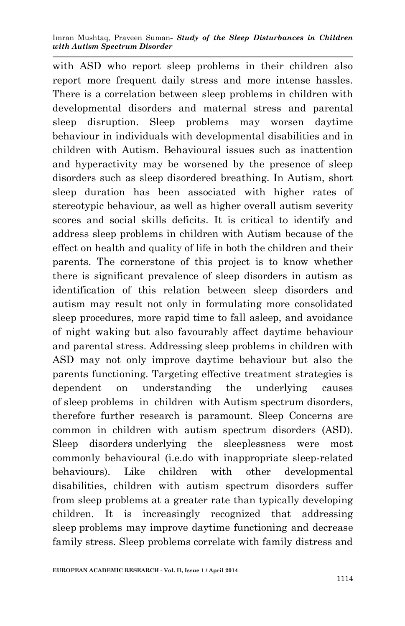with ASD who report sleep problems in their children also report more frequent daily stress and more intense hassles. There is a correlation between sleep problems in children with developmental disorders and maternal stress and parental sleep disruption. Sleep problems may worsen daytime behaviour in individuals with developmental disabilities and in children with Autism. Behavioural issues such as inattention and hyperactivity may be worsened by the presence of sleep disorders such as sleep disordered breathing. In Autism, short sleep duration has been associated with higher rates of stereotypic behaviour, as well as higher overall autism severity scores and social skills deficits. It is critical to identify and address sleep problems in children with Autism because of the effect on health and quality of life in both the children and their parents. The cornerstone of this project is to know whether there is significant prevalence of sleep disorders in autism as identification of this relation between sleep disorders and autism may result not only in formulating more consolidated sleep procedures, more rapid time to fall asleep, and avoidance of night waking but also favourably affect daytime behaviour and parental stress. Addressing sleep problems in children with ASD may not only improve daytime behaviour but also the parents functioning. Targeting effective treatment strategies is dependent on understanding the underlying causes of sleep problems in children with Autism spectrum disorders, therefore further research is paramount. Sleep Concerns are common in children with autism spectrum disorders (ASD). Sleep disorders underlying the sleeplessness were most commonly behavioural (i.e.do with inappropriate sleep-related behaviours). Like children with other developmental disabilities, children with autism spectrum disorders suffer from sleep problems at a greater rate than typically developing children. It is increasingly recognized that addressing sleep problems may improve daytime functioning and decrease family stress. Sleep problems correlate with family distress and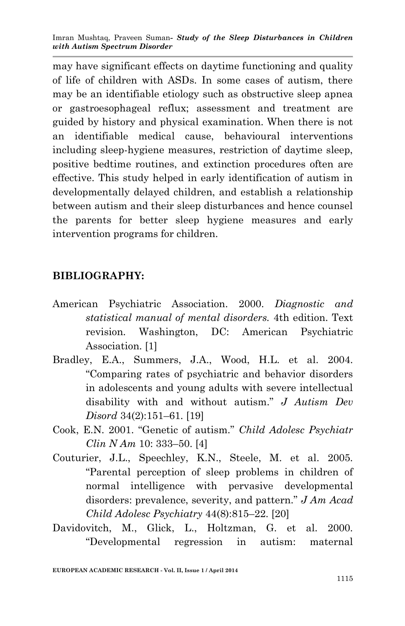may have significant effects on daytime functioning and quality of life of children with ASDs. In some cases of autism, there may be an identifiable etiology such as obstructive sleep apnea or gastroesophageal reflux; assessment and treatment are guided by history and physical examination. When there is not an identifiable medical cause, behavioural interventions including sleep-hygiene measures, restriction of daytime sleep, positive bedtime routines, and extinction procedures often are effective. This study helped in early identification of autism in developmentally delayed children, and establish a relationship between autism and their sleep disturbances and hence counsel the parents for better sleep hygiene measures and early intervention programs for children.

#### **BIBLIOGRAPHY:**

- American Psychiatric Association. 2000. *Diagnostic and statistical manual of mental disorders.* 4th edition. Text revision. Washington, DC: American Psychiatric Association. [1]
- Bradley, E.A., Summers, J.A., Wood, H.L. et al. 2004. "Comparing rates of psychiatric and behavior disorders in adolescents and young adults with severe intellectual disability with and without autism." *J Autism Dev Disord* 34(2):151–61. [19]
- Cook, E.N. 2001. "Genetic of autism." *Child Adolesc Psychiatr Clin N Am* 10: 333–50. [4]
- Couturier, J.L., Speechley, K.N., Steele, M. et al. 2005. "Parental perception of sleep problems in children of normal intelligence with pervasive developmental disorders: prevalence, severity, and pattern." *J Am Acad Child Adolesc Psychiatry* 44(8):815–22. [20]
- Davidovitch, M., Glick, L., Holtzman, G. et al. 2000. "Developmental regression in autism: maternal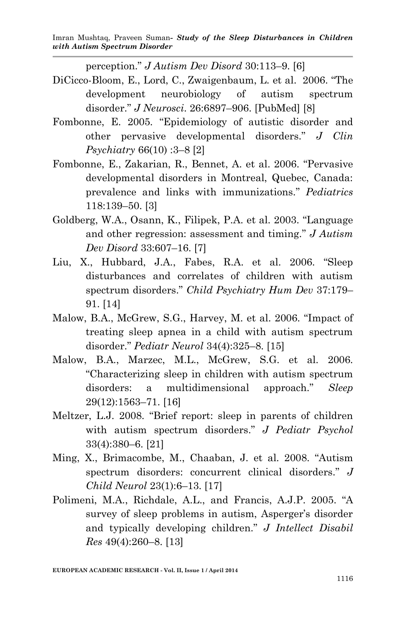perception." *J Autism Dev Disord* 30:113–9. [6]

- DiCicco-Bloom, E., Lord, C., Zwaigenbaum, L. et al. 2006. "The development neurobiology of autism spectrum disorder." *J Neurosci*. 26:6897–906. [PubMed] [8]
- Fombonne, E. 2005. "Epidemiology of autistic disorder and other pervasive developmental disorders." *J Clin Psychiatry* 66(10) :3–8 [2]
- Fombonne, E., Zakarian, R., Bennet, A. et al. 2006. "Pervasive developmental disorders in Montreal, Quebec, Canada: prevalence and links with immunizations." *Pediatrics* 118:139–50. [3]
- Goldberg, W.A., Osann, K., Filipek, P.A. et al. 2003. "Language and other regression: assessment and timing." *J Autism Dev Disord* 33:607–16. [7]
- Liu, X., Hubbard, J.A., Fabes, R.A. et al. 2006. "Sleep disturbances and correlates of children with autism spectrum disorders." *Child Psychiatry Hum Dev* 37:179– 91. [14]
- Malow, B.A., McGrew, S.G., Harvey, M. et al. 2006. "Impact of treating sleep apnea in a child with autism spectrum disorder." *Pediatr Neurol* 34(4):325–8. [15]
- Malow, B.A., Marzec, M.L., McGrew, S.G. et al. 2006. "Characterizing sleep in children with autism spectrum disorders: a multidimensional approach." *Sleep* 29(12):1563–71. [16]
- Meltzer, L.J. 2008. "Brief report: sleep in parents of children with autism spectrum disorders." *J Pediatr Psychol* 33(4):380–6. [21]
- Ming, X., Brimacombe, M., Chaaban, J. et al. 2008. "Autism spectrum disorders: concurrent clinical disorders." *J Child Neurol* 23(1):6–13. [17]
- Polimeni, M.A., Richdale, A.L., and Francis, A.J.P. 2005. "A survey of sleep problems in autism, Asperger's disorder and typically developing children." *J Intellect Disabil Res* 49(4):260–8. [13]